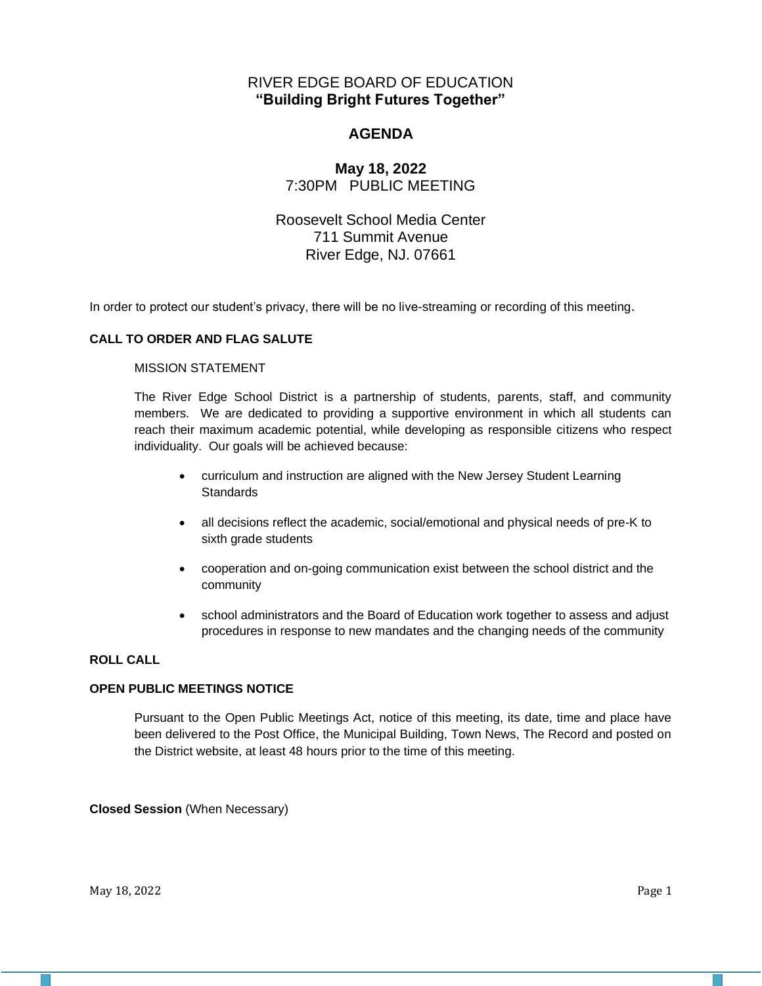# RIVER EDGE BOARD OF EDUCATION **"Building Bright Futures Together"**

# **AGENDA**

# **May 18, 2022** 7:30PM PUBLIC MEETING

# Roosevelt School Media Center 711 Summit Avenue River Edge, NJ. 07661

In order to protect our student's privacy, there will be no live-streaming or recording of this meeting.

## **CALL TO ORDER AND FLAG SALUTE**

#### MISSION STATEMENT

The River Edge School District is a partnership of students, parents, staff, and community members. We are dedicated to providing a supportive environment in which all students can reach their maximum academic potential, while developing as responsible citizens who respect individuality. Our goals will be achieved because:

- curriculum and instruction are aligned with the New Jersey Student Learning **Standards**
- all decisions reflect the academic, social/emotional and physical needs of pre-K to sixth grade students
- cooperation and on-going communication exist between the school district and the community
- school administrators and the Board of Education work together to assess and adjust procedures in response to new mandates and the changing needs of the community

## **ROLL CALL**

## **OPEN PUBLIC MEETINGS NOTICE**

Pursuant to the Open Public Meetings Act, notice of this meeting, its date, time and place have been delivered to the Post Office, the Municipal Building, Town News, The Record and posted on the District website, at least 48 hours prior to the time of this meeting.

**Closed Session** (When Necessary)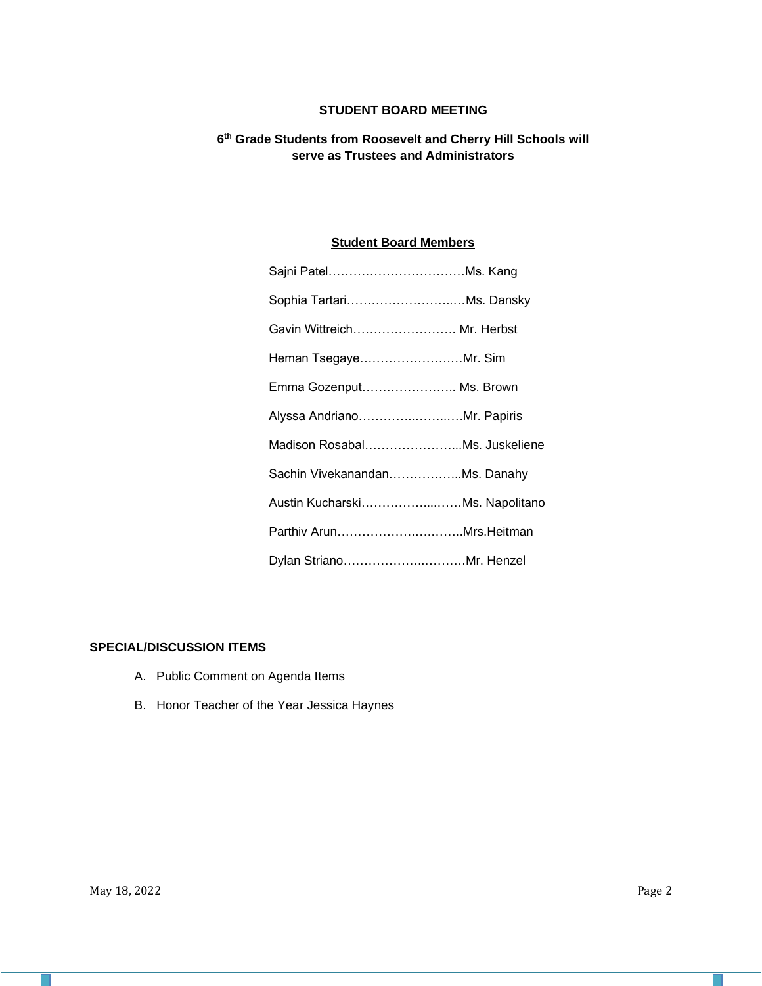# **STUDENT BOARD MEETING**

## **6 th Grade Students from Roosevelt and Cherry Hill Schools will serve as Trustees and Administrators**

# **Student Board Members**

| Sophia TartariMs. Dansky       |  |
|--------------------------------|--|
| Gavin Wittreich Mr. Herbst     |  |
| Heman TsegayeMr. Sim           |  |
| Emma Gozenput Ms. Brown        |  |
| Alyssa AndrianoMr. Papiris     |  |
| Madison RosabalMs. Juskeliene  |  |
| Sachin VivekanandanMs. Danahy  |  |
| Austin KucharskiMs. Napolitano |  |
|                                |  |
| Dylan StrianoMr. Henzel        |  |

#### **SPECIAL/DISCUSSION ITEMS**

- A. Public Comment on Agenda Items
- B. Honor Teacher of the Year Jessica Haynes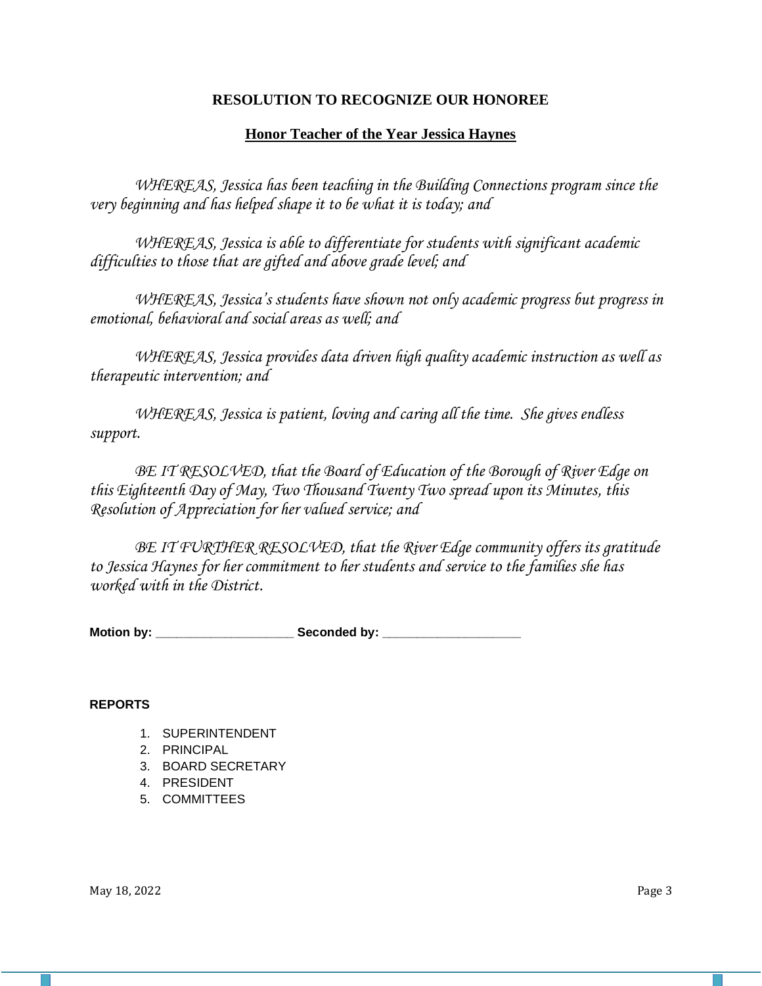# **RESOLUTION TO RECOGNIZE OUR HONOREE**

# **Honor Teacher of the Year Jessica Haynes**

*WHEREAS, Jessica has been teaching in the Building Connections program since the very beginning and has helped shape it to be what it is today; and*

*WHEREAS, Jessica is able to differentiate for students with significant academic difficulties to those that are gifted and above grade level; and*

*WHEREAS, Jessica's students have shown not only academic progress but progress in emotional, behavioral and social areas as well; and*

*WHEREAS, Jessica provides data driven high quality academic instruction as well as therapeutic intervention; and*

*WHEREAS, Jessica is patient, loving and caring all the time. She gives endless support.*

*BE IT RESOLVED, that the Board of Education of the Borough of River Edge on this Eighteenth Day of May, Two Thousand Twenty Two spread upon its Minutes, this Resolution of Appreciation for her valued service; and*

*BE IT FURTHER RESOLVED, that the River Edge community offers its gratitude to Jessica Haynes for her commitment to her students and service to the families she has worked with in the District.*

Motion by: **Example 20** Seconded by:

## **REPORTS**

- 1. SUPERINTENDENT
- 2. PRINCIPAL
- 3. BOARD SECRETARY
- 4. PRESIDENT
- 5. COMMITTEES

May  $18, 2022$  Page 3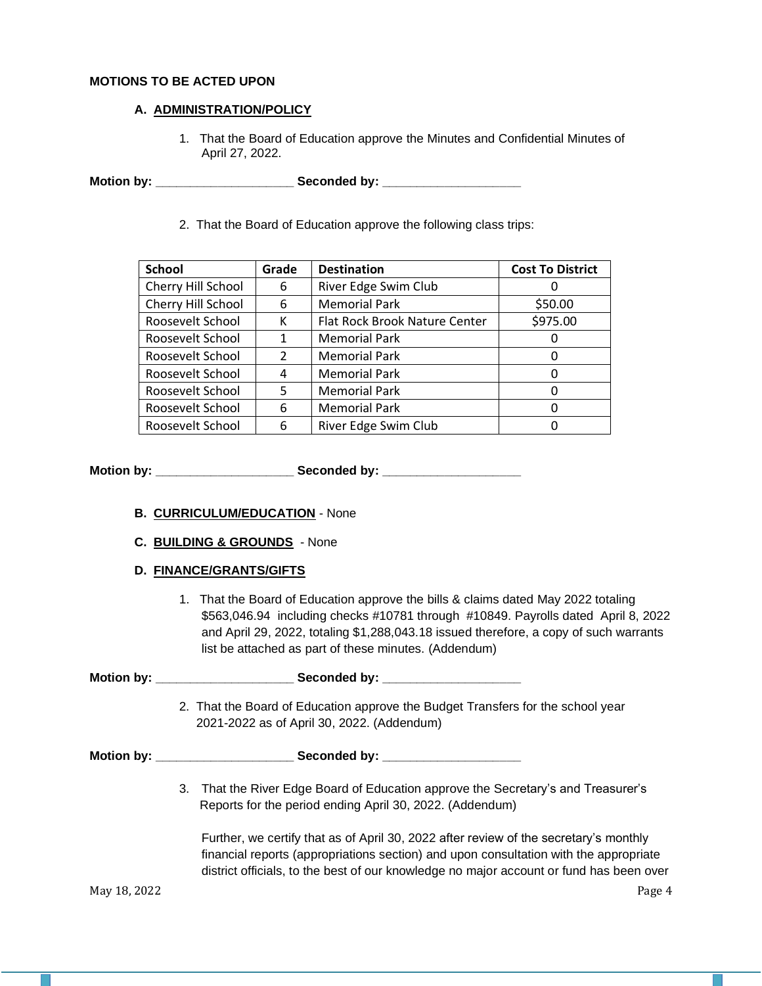## **MOTIONS TO BE ACTED UPON**

## **A. ADMINISTRATION/POLICY**

1. That the Board of Education approve the Minutes and Confidential Minutes of April 27, 2022.

**Motion by: \_\_\_\_\_\_\_\_\_\_\_\_\_\_\_\_\_\_\_\_ Seconded by: \_\_\_\_\_\_\_\_\_\_\_\_\_\_\_\_\_\_\_\_**

2. That the Board of Education approve the following class trips:

| <b>School</b>      | Grade         | <b>Destination</b>            | <b>Cost To District</b> |
|--------------------|---------------|-------------------------------|-------------------------|
| Cherry Hill School | 6             | River Edge Swim Club          |                         |
| Cherry Hill School | 6             | <b>Memorial Park</b>          | \$50.00                 |
| Roosevelt School   | К             | Flat Rock Brook Nature Center | \$975.00                |
| Roosevelt School   | 1             | <b>Memorial Park</b>          | O                       |
| Roosevelt School   | $\mathcal{P}$ | <b>Memorial Park</b>          | 0                       |
| Roosevelt School   | 4             | <b>Memorial Park</b>          | 0                       |
| Roosevelt School   | 5             | <b>Memorial Park</b>          | 0                       |
| Roosevelt School   | 6             | <b>Memorial Park</b>          | Ω                       |
| Roosevelt School   | 6             | River Edge Swim Club          |                         |

**Motion by: \_\_\_\_\_\_\_\_\_\_\_\_\_\_\_\_\_\_\_\_ Seconded by: \_\_\_\_\_\_\_\_\_\_\_\_\_\_\_\_\_\_\_\_**

- **B. CURRICULUM/EDUCATION** None
- **C. BUILDING & GROUNDS** None
- **D. FINANCE/GRANTS/GIFTS**
	- 1. That the Board of Education approve the bills & claims dated May 2022 totaling \$563,046.94 including checks #10781 through #10849. Payrolls dated April 8, 2022 and April 29, 2022, totaling \$1,288,043.18 issued therefore, a copy of such warrants list be attached as part of these minutes. (Addendum)

|              | 2. That the Board of Education approve the Budget Transfers for the school year<br>2021-2022 as of April 30, 2022. (Addendum)                                                                                                                                             |
|--------------|---------------------------------------------------------------------------------------------------------------------------------------------------------------------------------------------------------------------------------------------------------------------------|
|              |                                                                                                                                                                                                                                                                           |
|              | 3. That the River Edge Board of Education approve the Secretary's and Treasurer's<br>Reports for the period ending April 30, 2022. (Addendum)                                                                                                                             |
|              | Further, we certify that as of April 30, 2022 after review of the secretary's monthly<br>financial reports (appropriations section) and upon consultation with the appropriate<br>district officials, to the best of our knowledge no major account or fund has been over |
| May 18, 2022 | Page 4                                                                                                                                                                                                                                                                    |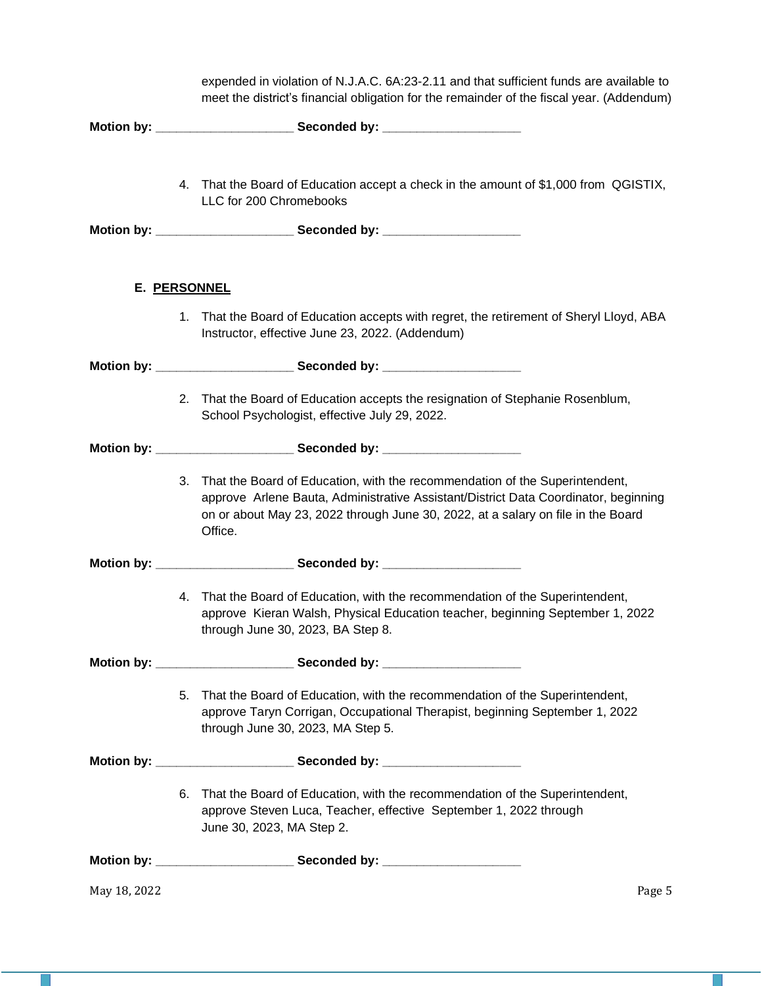|              |    | expended in violation of N.J.A.C. 6A:23-2.11 and that sufficient funds are available to<br>meet the district's financial obligation for the remainder of the fiscal year. (Addendum)                                                                              |
|--------------|----|-------------------------------------------------------------------------------------------------------------------------------------------------------------------------------------------------------------------------------------------------------------------|
|              |    |                                                                                                                                                                                                                                                                   |
|              |    | 4. That the Board of Education accept a check in the amount of \$1,000 from QGISTIX,<br>LLC for 200 Chromebooks                                                                                                                                                   |
|              |    |                                                                                                                                                                                                                                                                   |
|              |    | E. PERSONNEL                                                                                                                                                                                                                                                      |
|              | 1. | That the Board of Education accepts with regret, the retirement of Sheryl Lloyd, ABA<br>Instructor, effective June 23, 2022. (Addendum)                                                                                                                           |
|              |    |                                                                                                                                                                                                                                                                   |
|              |    | 2. That the Board of Education accepts the resignation of Stephanie Rosenblum,<br>School Psychologist, effective July 29, 2022.                                                                                                                                   |
|              |    |                                                                                                                                                                                                                                                                   |
|              | 3. | That the Board of Education, with the recommendation of the Superintendent,<br>approve Arlene Bauta, Administrative Assistant/District Data Coordinator, beginning<br>on or about May 23, 2022 through June 30, 2022, at a salary on file in the Board<br>Office. |
|              |    |                                                                                                                                                                                                                                                                   |
|              | 4. | That the Board of Education, with the recommendation of the Superintendent,<br>approve Kieran Walsh, Physical Education teacher, beginning September 1, 2022<br>through June 30, 2023, BA Step 8.                                                                 |
|              |    |                                                                                                                                                                                                                                                                   |
|              |    | 5. That the Board of Education, with the recommendation of the Superintendent,<br>approve Taryn Corrigan, Occupational Therapist, beginning September 1, 2022<br>through June 30, 2023, MA Step 5.                                                                |
|              |    |                                                                                                                                                                                                                                                                   |
|              | 6. | That the Board of Education, with the recommendation of the Superintendent,<br>approve Steven Luca, Teacher, effective September 1, 2022 through<br>June 30, 2023, MA Step 2.                                                                                     |
|              |    |                                                                                                                                                                                                                                                                   |
| May 18, 2022 |    | Page 5                                                                                                                                                                                                                                                            |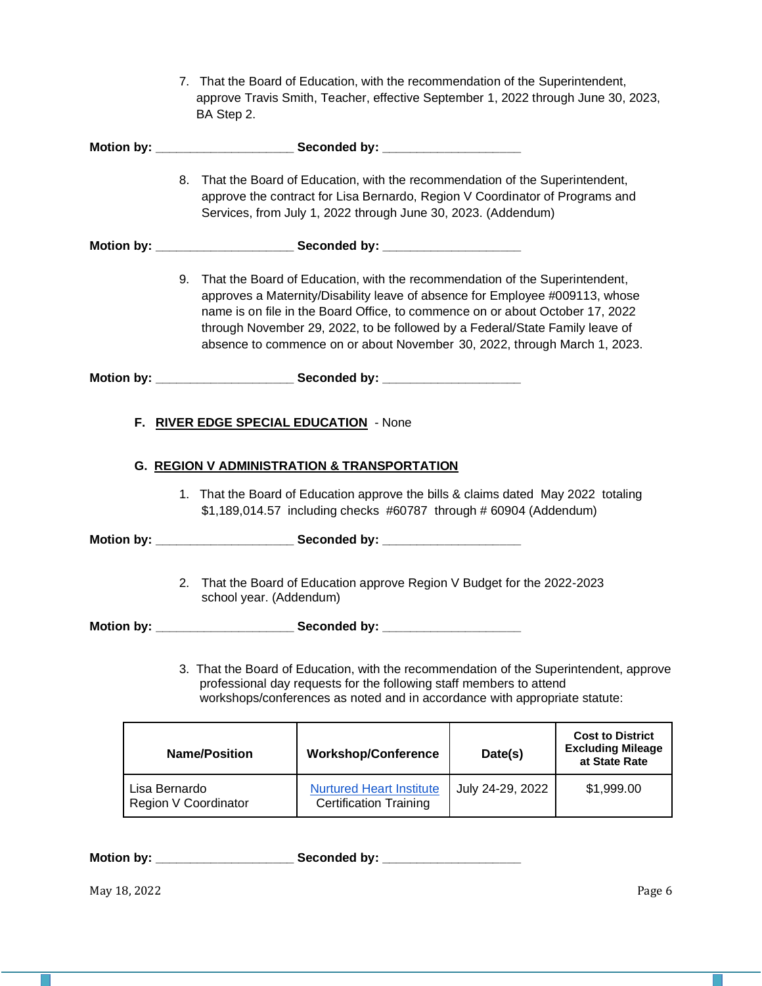|                   |                                       | BA Step 2.              | 7. That the Board of Education, with the recommendation of the Superintendent,<br>approve Travis Smith, Teacher, effective September 1, 2022 through June 30, 2023,                                                                                                                                                                                                                                          |                  |                                                                      |
|-------------------|---------------------------------------|-------------------------|--------------------------------------------------------------------------------------------------------------------------------------------------------------------------------------------------------------------------------------------------------------------------------------------------------------------------------------------------------------------------------------------------------------|------------------|----------------------------------------------------------------------|
|                   |                                       |                         |                                                                                                                                                                                                                                                                                                                                                                                                              |                  |                                                                      |
|                   | 8.                                    |                         | That the Board of Education, with the recommendation of the Superintendent,<br>approve the contract for Lisa Bernardo, Region V Coordinator of Programs and<br>Services, from July 1, 2022 through June 30, 2023. (Addendum)                                                                                                                                                                                 |                  |                                                                      |
|                   |                                       |                         |                                                                                                                                                                                                                                                                                                                                                                                                              |                  |                                                                      |
|                   |                                       |                         | 9. That the Board of Education, with the recommendation of the Superintendent,<br>approves a Maternity/Disability leave of absence for Employee #009113, whose<br>name is on file in the Board Office, to commence on or about October 17, 2022<br>through November 29, 2022, to be followed by a Federal/State Family leave of<br>absence to commence on or about November 30, 2022, through March 1, 2023. |                  |                                                                      |
|                   |                                       |                         |                                                                                                                                                                                                                                                                                                                                                                                                              |                  |                                                                      |
|                   |                                       |                         | <b>G. REGION V ADMINISTRATION &amp; TRANSPORTATION</b><br>1. That the Board of Education approve the bills & claims dated May 2022 totaling<br>\$1,189,014.57 including checks #60787 through # 60904 (Addendum)                                                                                                                                                                                             |                  |                                                                      |
|                   | 2.                                    | school year. (Addendum) | That the Board of Education approve Region V Budget for the 2022-2023                                                                                                                                                                                                                                                                                                                                        |                  |                                                                      |
| <b>Motion by:</b> |                                       |                         | Seconded by:<br>3. That the Board of Education, with the recommendation of the Superintendent, approve<br>professional day requests for the following staff members to attend<br>workshops/conferences as noted and in accordance with appropriate statute:                                                                                                                                                  |                  |                                                                      |
|                   |                                       | <b>Name/Position</b>    | <b>Workshop/Conference</b>                                                                                                                                                                                                                                                                                                                                                                                   | Date(s)          | <b>Cost to District</b><br><b>Excluding Mileage</b><br>at State Rate |
|                   | Lisa Bernardo<br>Region V Coordinator |                         | <b>Nurtured Heart Institute</b><br><b>Certification Training</b>                                                                                                                                                                                                                                                                                                                                             | July 24-29, 2022 | \$1,999.00                                                           |
|                   |                                       |                         |                                                                                                                                                                                                                                                                                                                                                                                                              |                  |                                                                      |

**Motion by: \_\_\_\_\_\_\_\_\_\_\_\_\_\_\_\_\_\_\_\_ Seconded by: \_\_\_\_\_\_\_\_\_\_\_\_\_\_\_\_\_\_\_\_**

May 18, 2022 Page 6